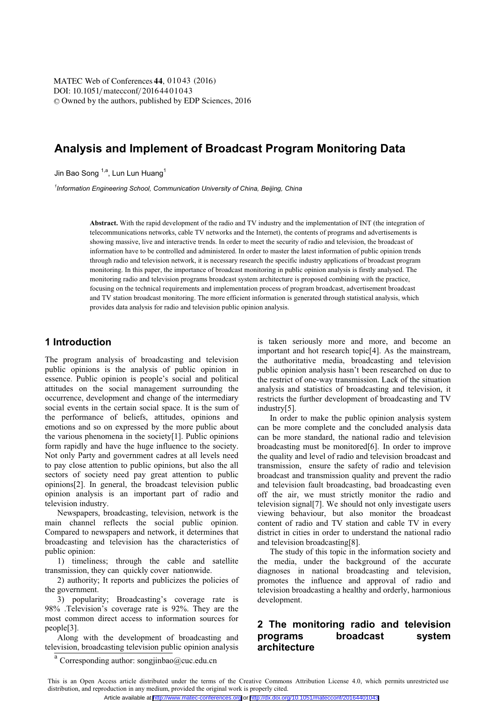DOI: 10.1051/matecconf/20164401043 © Owned by the authors, published by EDP Sciences, 2016 MATEC Web of Conferences 44, 01043 (2016)

# **Analysis and Implement of Broadcast Program Monitoring Data**

Jin Bao Song <sup>1,a</sup>, Lun Lun Huang<sup>1</sup>

<sup>1</sup>Information Engineering School, Communication University of China, Beijing, China *Information Engineering School, Communication University of China, Beijing, China* 

> **Abstract.** With the rapid development of the radio and TV industry and the implementation of INT (the integration of telecommunications networks, cable TV networks and the Internet), the contents of programs and advertisements is showing massive, live and interactive trends. In order to meet the security of radio and television, the broadcast of information have to be controlled and administered. In order to master the latest information of public opinion trends through radio and television network, it is necessary research the specific industry applications of broadcast program monitoring. In this paper, the importance of broadcast monitoring in public opinion analysis is firstly analysed. The monitoring radio and television programs broadcast system architecture is proposed combining with the practice, focusing on the technical requirements and implementation process of program broadcast, advertisement broadcast and TV station broadcast monitoring. The more efficient information is generated through statistical analysis, which provides data analysis for radio and television public opinion analysis.

## **1 Introduction**

The program analysis of broadcasting and television public opinions is the analysis of public opinion in essence. Public opinion is people's social and political attitudes on the social management surrounding the occurrence, development and change of the intermediary social events in the certain social space. It is the sum of the performance of beliefs, attitudes, opinions and emotions and so on expressed by the more public about the various phenomena in the society[1]. Public opinions form rapidly and have the huge influence to the society. Not only Party and government cadres at all levels need to pay close attention to public opinions, but also the all sectors of society need pay great attention to public opinions[2]. In general, the broadcast television public opinion analysis is an important part of radio and television industry.

Newspapers, broadcasting, television, network is the main channel reflects the social public opinion. Compared to newspapers and network, it determines that broadcasting and television has the characteristics of public opinion:

1) timeliness; through the cable and satellite transmission, they can quickly cover nationwide.

2) authority; It reports and publicizes the policies of the government.

3) popularity; Broadcasting's coverage rate is 98% .Television's coverage rate is 92%. They are the most common direct access to information sources for people[3].

Along with the development of broadcasting and television, broadcasting television public opinion analysis is taken seriously more and more, and become an important and hot research topic[4]. As the mainstream, the authoritative media, broadcasting and television public opinion analysis hasn't been researched on due to the restrict of one-way transmission. Lack of the situation analysis and statistics of broadcasting and television, it restricts the further development of broadcasting and TV industry[5].

In order to make the public opinion analysis system can be more complete and the concluded analysis data can be more standard, the national radio and television broadcasting must be monitored[6]. In order to improve the quality and level of radio and television broadcast and transmission, ensure the safety of radio and television broadcast and transmission quality and prevent the radio and television fault broadcasting, bad broadcasting even off the air, we must strictly monitor the radio and television signal[7]. We should not only investigate users viewing behaviour, but also monitor the broadcast content of radio and TV station and cable TV in every district in cities in order to understand the national radio and television broadcasting[8].

The study of this topic in the information society and the media, under the background of the accurate diagnoses in national broadcasting and television, promotes the influence and approval of radio and television broadcasting a healthy and orderly, harmonious development.

## **2 The monitoring radio and television programs broadcast system architecture**

a Corresponding author: songjinbao@cuc.edu.cn

This is an Open Access article distributed under the terms of the Creative Commons Attribution License 4.0, which permits unrestricted use distribution, and reproduction in any medium, provided the original work is properly cited. Article available at <http://www.matec-conferences.org> or <http://dx.doi.org/10.1051/matecconf/20164401043>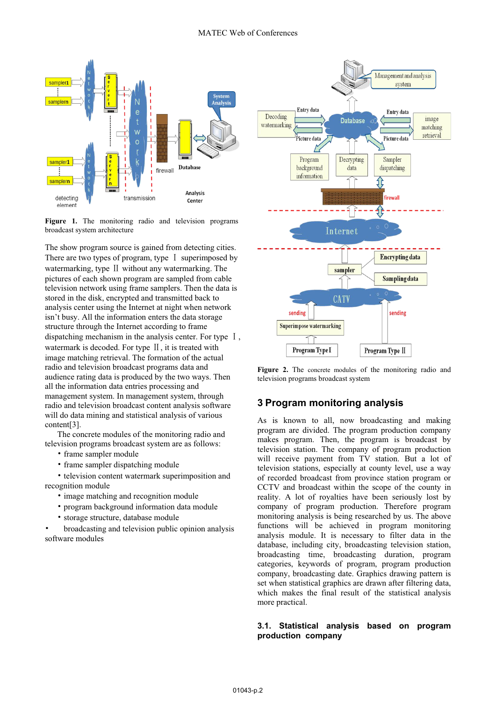

Figure 1. The monitoring radio and television programs broadcast system architecture

The show program source is gained from detecting cities. There are two types of program, type  $\Gamma$  superimposed by watermarking, type II without any watermarking. The pictures of each shown program are sampled from cable television network using frame samplers. Then the data is stored in the disk, encrypted and transmitted back to analysis center using the Internet at night when network isn't busy. All the information enters the data storage structure through the Internet according to frame dispatching mechanism in the analysis center. For type  $\bar{I}$ , watermark is decoded. For type  $II$ , it is treated with image matching retrieval. The formation of the actual radio and television broadcast programs data and audience rating data is produced by the two ways. Then all the information data entries processing and management system. In management system, through radio and television broadcast content analysis software will do data mining and statistical analysis of various content[3].

The concrete modules of the monitoring radio and television programs broadcast system are as follows:

- frame sampler module
- frame sampler dispatching module

• television content watermark superimposition and recognition module

- image matching and recognition module
- program background information data module
- storage structure, database module

Ь broadcasting and television public opinion analysis software modules



**Figure 2.** The concrete modules of the monitoring radio and television programs broadcast system

## **3 Program monitoring analysis**

As is known to all, now broadcasting and making program are divided. The program production company makes program. Then, the program is broadcast by television station. The company of program production will receive payment from TV station. But a lot of television stations, especially at county level, use a way of recorded broadcast from province station program or CCTV and broadcast within the scope of the county in reality. A lot of royalties have been seriously lost by company of program production. Therefore program monitoring analysis is being researched by us. The above functions will be achieved in program monitoring analysis module. It is necessary to filter data in the database, including city, broadcasting television station, broadcasting time, broadcasting duration, program categories, keywords of program, program production company, broadcasting date. Graphics drawing pattern is set when statistical graphics are drawn after filtering data, which makes the final result of the statistical analysis more practical.

### **3.1. Statistical analysis based on program production company**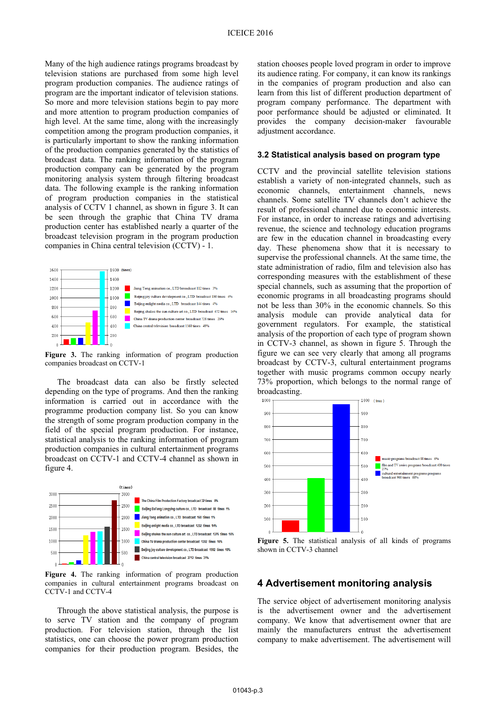Many of the high audience ratings programs broadcast by television stations are purchased from some high level program production companies. The audience ratings of program are the important indicator of television stations. So more and more television stations begin to pay more and more attention to program production companies of high level. At the same time, along with the increasingly competition among the program production companies, it is particularly important to show the ranking information of the production companies generated by the statistics of broadcast data. The ranking information of the program production company can be generated by the program monitoring analysis system through filtering broadcast data. The following example is the ranking information of program production companies in the statistical analysis of CCTV 1 channel, as shown in figure 3. It can be seen through the graphic that China TV drama production center has established nearly a quarter of the broadcast television program in the program production companies in China central television (CCTV) - 1.



**Figure 3.** The ranking information of program production companies broadcast on CCTV-1

The broadcast data can also be firstly selected depending on the type of programs. And then the ranking information is carried out in accordance with the programme production company list. So you can know the strength of some program production company in the field of the special program production. For instance, statistical analysis to the ranking information of program production companies in cultural entertainment programs broadcast on CCTV-1 and CCTV-4 channel as shown in figure 4.



**Figure 4.** The ranking information of program production companies in cultural entertainment programs broadcast on CCTV-1 and CCTV-4

Through the above statistical analysis, the purpose is to serve TV station and the company of program production. For television station, through the list statistics, one can choose the power program production companies for their production program. Besides, the

station chooses people loved program in order to improve its audience rating. For company, it can know its rankings in the companies of program production and also can learn from this list of different production department of program company performance. The department with poor performance should be adjusted or eliminated. It provides the company decision-maker favourable adjustment accordance.

#### **3.2 Statistical analysis based on program type**

CCTV and the provincial satellite television stations establish a variety of non-integrated channels, such as economic channels, entertainment channels, news channels. Some satellite TV channels don't achieve the result of professional channel due to economic interests. For instance, in order to increase ratings and advertising revenue, the science and technology education programs are few in the education channel in broadcasting every day. These phenomena show that it is necessary to supervise the professional channels. At the same time, the state administration of radio, film and television also has corresponding measures with the establishment of these special channels, such as assuming that the proportion of economic programs in all broadcasting programs should not be less than 30% in the economic channels. So this analysis module can provide analytical data for government regulators. For example, the statistical analysis of the proportion of each type of program shown in CCTV-3 channel, as shown in figure 5. Through the figure we can see very clearly that among all programs broadcast by CCTV-3, cultural entertainment programs together with music programs common occupy nearly 73% proportion, which belongs to the normal range of broadcasting.



**Figure 5.** The statistical analysis of all kinds of programs shown in CCTV-3 channel

### **4 Advertisement monitoring analysis**

The service object of advertisement monitoring analysis is the advertisement owner and the advertisement company. We know that advertisement owner that are mainly the manufacturers entrust the advertisement company to make advertisement. The advertisement will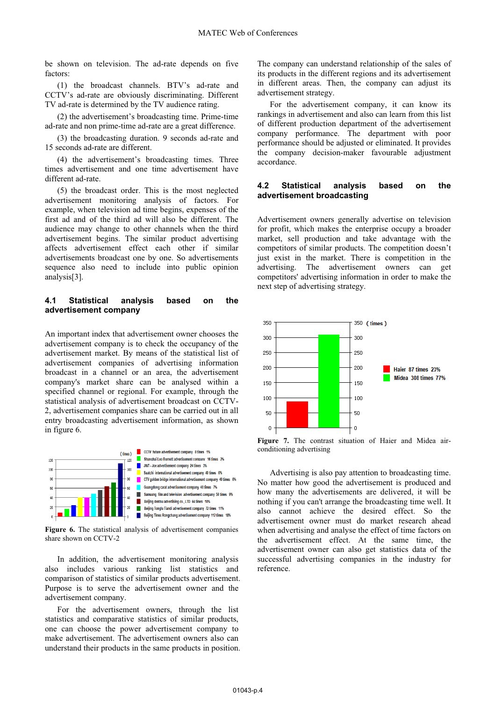be shown on television. The ad-rate depends on five factors:

(1) the broadcast channels. BTV's ad-rate and CCTV's ad-rate are obviously discriminating. Different TV ad-rate is determined by the TV audience rating.

(2) the advertisement's broadcasting time. Prime-time ad-rate and non prime-time ad-rate are a great difference.

(3) the broadcasting duration. 9 seconds ad-rate and 15 seconds ad-rate are different.

(4) the advertisement's broadcasting times. Three times advertisement and one time advertisement have different ad-rate.

(5) the broadcast order. This is the most neglected advertisement monitoring analysis of factors. For example, when television ad time begins, expenses of the first ad and of the third ad will also be different. The audience may change to other channels when the third advertisement begins. The similar product advertising affects advertisement effect each other if similar advertisements broadcast one by one. So advertisements sequence also need to include into public opinion analysis[3].

#### **4.1 Statistical analysis based on the advertisement company**

An important index that advertisement owner chooses the advertisement company is to check the occupancy of the advertisement market. By means of the statistical list of advertisement companies of advertising information broadcast in a channel or an area, the advertisement company's market share can be analysed within a specified channel or regional. For example, through the statistical analysis of advertisement broadcast on CCTV-2, advertisement companies share can be carried out in all entry broadcasting advertisement information, as shown in figure 6.



**Figure 6.** The statistical analysis of advertisement companies share shown on CCTV-2

In addition, the advertisement monitoring analysis also includes various ranking list statistics and comparison of statistics of similar products advertisement. Purpose is to serve the advertisement owner and the advertisement company.

For the advertisement owners, through the list statistics and comparative statistics of similar products, one can choose the power advertisement company to make advertisement. The advertisement owners also can understand their products in the same products in position.

The company can understand relationship of the sales of its products in the different regions and its advertisement in different areas. Then, the company can adjust its advertisement strategy.

For the advertisement company, it can know its rankings in advertisement and also can learn from this list of different production department of the advertisement company performance. The department with poor performance should be adjusted or eliminated. It provides the company decision-maker favourable adjustment accordance.

### **4.2 Statistical analysis based on the advertisement broadcasting**

Advertisement owners generally advertise on television for profit, which makes the enterprise occupy a broader market, sell production and take advantage with the competitors of similar products. The competition doesn't just exist in the market. There is competition in the advertising. The advertisement owners can get competitors' advertising information in order to make the next step of advertising strategy.



**Figure 7.** The contrast situation of Haier and Midea airconditioning advertising

Advertising is also pay attention to broadcasting time. No matter how good the advertisement is produced and how many the advertisements are delivered, it will be nothing if you can't arrange the broadcasting time well. It also cannot achieve the desired effect. So the advertisement owner must do market research ahead when advertising and analyse the effect of time factors on the advertisement effect. At the same time, the advertisement owner can also get statistics data of the successful advertising companies in the industry for reference.